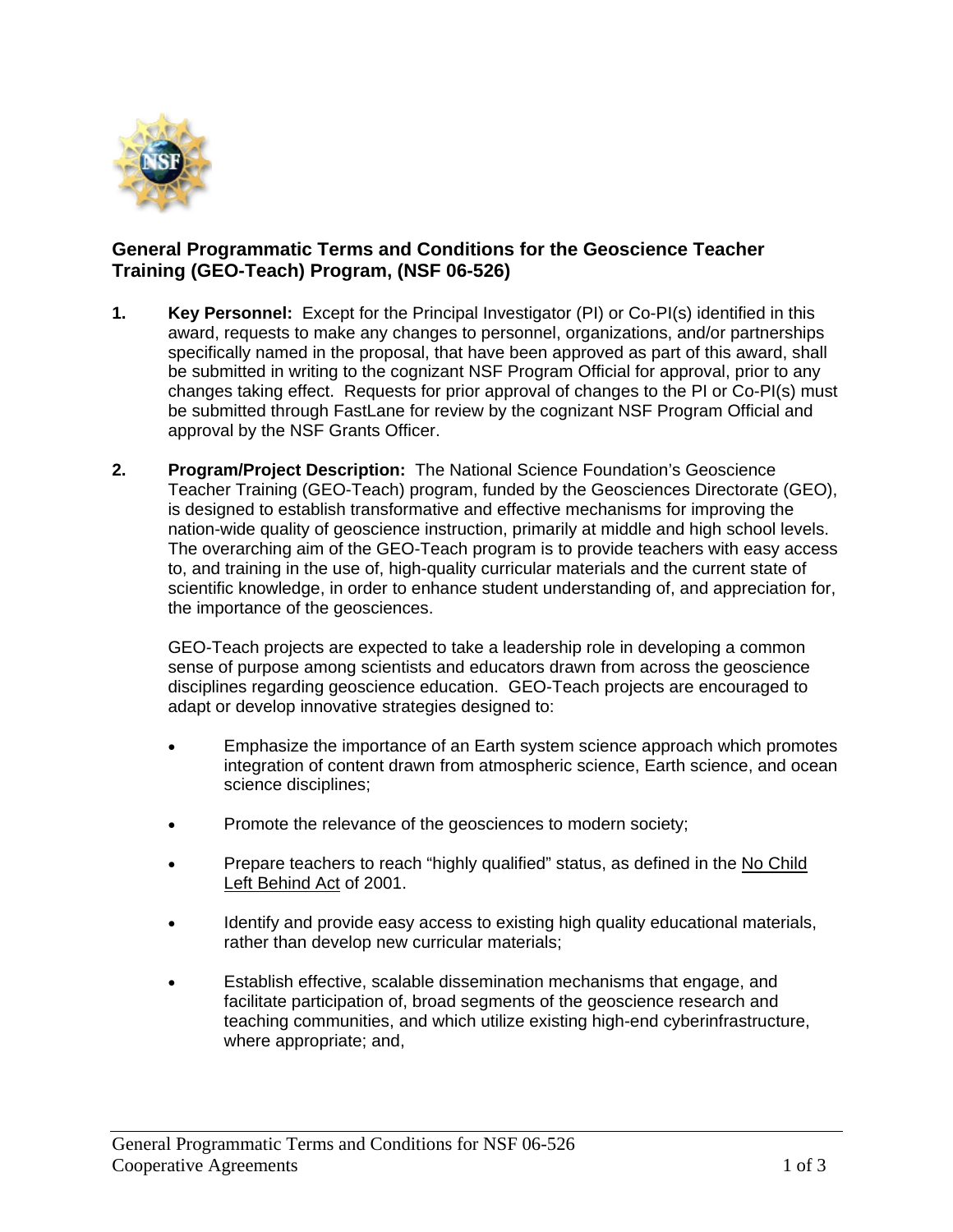

## **General Programmatic Terms and Conditions for the Geoscience Teacher Training (GEO-Teach) Program, (NSF 06-526)**

- **1. Key Personnel:** Except for the Principal Investigator (PI) or Co-PI(s) identified in this award, requests to make any changes to personnel, organizations, and/or partnerships specifically named in the proposal, that have been approved as part of this award, shall be submitted in writing to the cognizant NSF Program Official for approval, prior to any changes taking effect. Requests for prior approval of changes to the PI or Co-PI(s) must be submitted through FastLane for review by the cognizant NSF Program Official and approval by the NSF Grants Officer.
- **2. Program/Project Description:** The National Science Foundation's Geoscience Teacher Training (GEO-Teach) program, funded by the Geosciences Directorate (GEO), is designed to establish transformative and effective mechanisms for improving the nation-wide quality of geoscience instruction, primarily at middle and high school levels. The overarching aim of the GEO-Teach program is to provide teachers with easy access to, and training in the use of, high-quality curricular materials and the current state of scientific knowledge, in order to enhance student understanding of, and appreciation for, the importance of the geosciences.

GEO-Teach projects are expected to take a leadership role in developing a common sense of purpose among scientists and educators drawn from across the geoscience disciplines regarding geoscience education. GEO-Teach projects are encouraged to adapt or develop innovative strategies designed to:

- Emphasize the importance of an Earth system science approach which promotes integration of content drawn from atmospheric science, Earth science, and ocean science disciplines;
- Promote the relevance of the geosciences to modern society;
- Prepare teachers to reach "highly qualified" status, as defined in the No Child Left Behind Act of 2001.
- Identify and provide easy access to existing high quality educational materials, rather than develop new curricular materials;
- Establish effective, scalable dissemination mechanisms that engage, and facilitate participation of, broad segments of the geoscience research and teaching communities, and which utilize existing high-end cyberinfrastructure, where appropriate; and,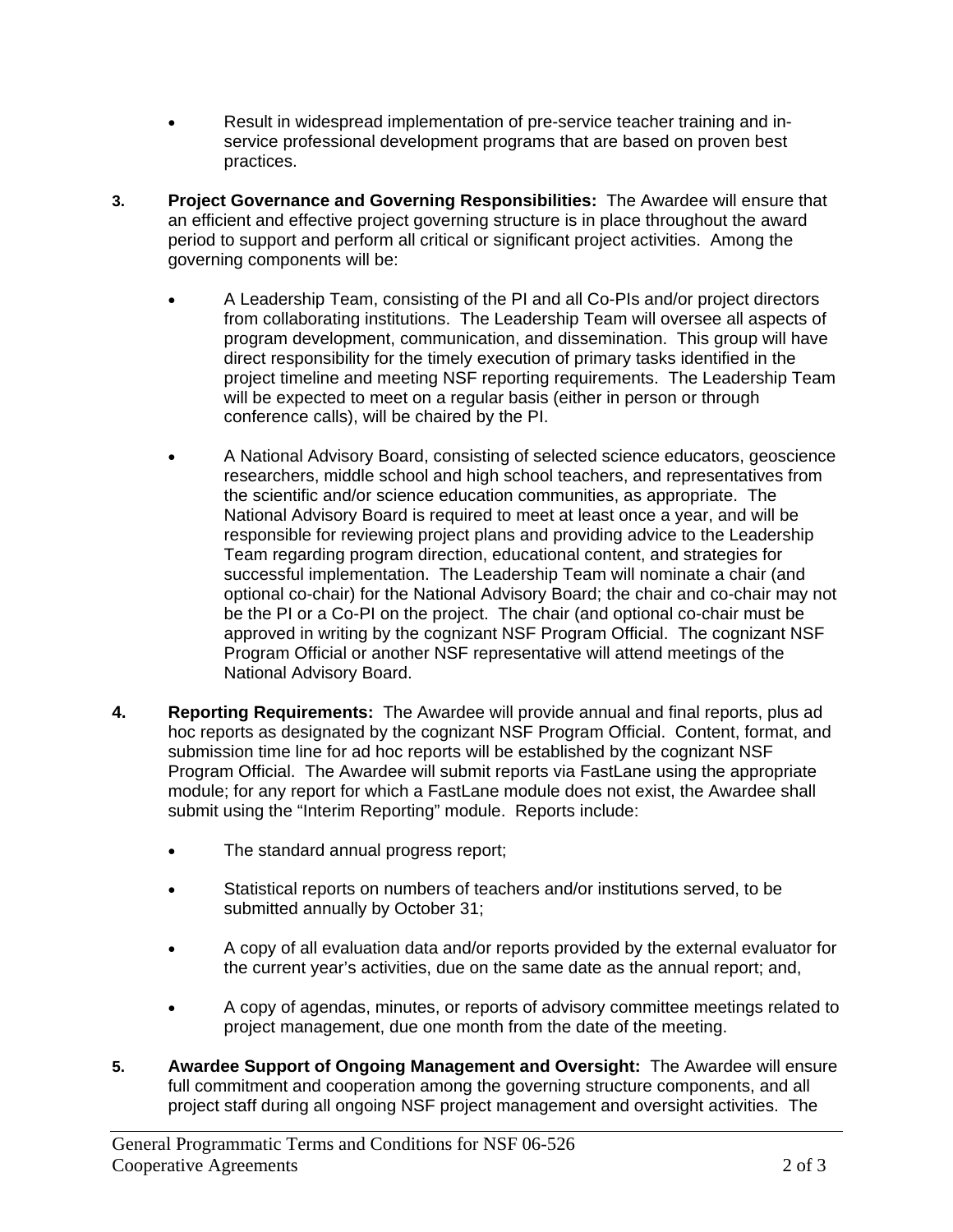- Result in widespread implementation of pre-service teacher training and inservice professional development programs that are based on proven best practices.
- **3. Project Governance and Governing Responsibilities:** The Awardee will ensure that an efficient and effective project governing structure is in place throughout the award period to support and perform all critical or significant project activities. Among the governing components will be:
	- A Leadership Team, consisting of the PI and all Co-PIs and/or project directors from collaborating institutions. The Leadership Team will oversee all aspects of program development, communication, and dissemination. This group will have direct responsibility for the timely execution of primary tasks identified in the project timeline and meeting NSF reporting requirements. The Leadership Team will be expected to meet on a regular basis (either in person or through conference calls), will be chaired by the PI.
	- A National Advisory Board, consisting of selected science educators, geoscience researchers, middle school and high school teachers, and representatives from the scientific and/or science education communities, as appropriate. The National Advisory Board is required to meet at least once a year, and will be responsible for reviewing project plans and providing advice to the Leadership Team regarding program direction, educational content, and strategies for successful implementation. The Leadership Team will nominate a chair (and optional co-chair) for the National Advisory Board; the chair and co-chair may not be the PI or a Co-PI on the project. The chair (and optional co-chair must be approved in writing by the cognizant NSF Program Official. The cognizant NSF Program Official or another NSF representative will attend meetings of the National Advisory Board.
- **4. Reporting Requirements:** The Awardee will provide annual and final reports, plus ad hoc reports as designated by the cognizant NSF Program Official. Content, format, and submission time line for ad hoc reports will be established by the cognizant NSF Program Official. The Awardee will submit reports via FastLane using the appropriate module; for any report for which a FastLane module does not exist, the Awardee shall submit using the "Interim Reporting" module. Reports include:
	- The standard annual progress report;
	- Statistical reports on numbers of teachers and/or institutions served, to be submitted annually by October 31;
	- A copy of all evaluation data and/or reports provided by the external evaluator for the current year's activities, due on the same date as the annual report; and,
	- A copy of agendas, minutes, or reports of advisory committee meetings related to project management, due one month from the date of the meeting.
- **5. Awardee Support of Ongoing Management and Oversight:** The Awardee will ensure full commitment and cooperation among the governing structure components, and all project staff during all ongoing NSF project management and oversight activities. The